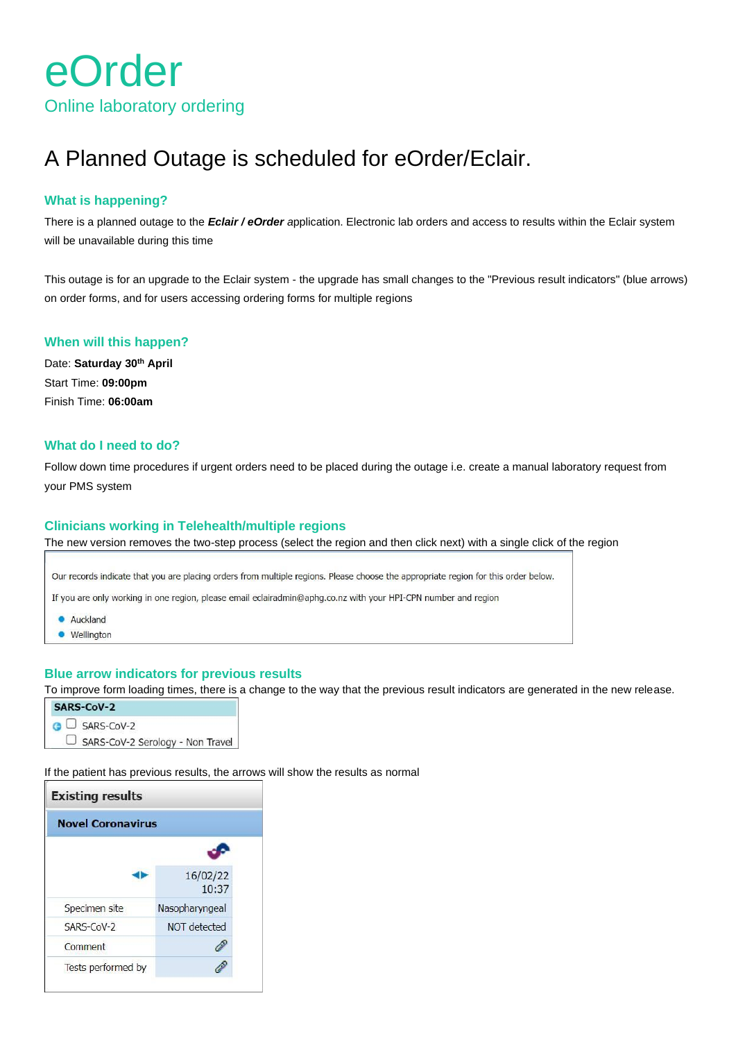

# A Planned Outage is scheduled for eOrder/Eclair.

## **What is happening?**

There is a planned outage to the *Eclair / eOrder a*pplication. Electronic lab orders and access to results within the Eclair system will be unavailable during this time

This outage is for an upgrade to the Eclair system - the upgrade has small changes to the "Previous result indicators" (blue arrows) on order forms, and for users accessing ordering forms for multiple regions

#### **When will this happen?**

Date: **Saturday 30th April** Start Time: **09:00pm** Finish Time: **06:00am**

## **What do I need to do?**

Follow down time procedures if urgent orders need to be placed during the outage i.e. create a manual laboratory request from your PMS system

#### **Clinicians working in Telehealth/multiple regions**

The new version removes the two-step process (select the region and then click next) with a single click of the region

Our records indicate that you are placing orders from multiple regions. Please choose the appropriate region for this order below.

If you are only working in one region, please email eclairadmin@aphg.co.nz with your HPI-CPN number and region

- Auckland
- Wellington

### **Blue arrow indicators for previous results**

To improve form loading times, there is a change to the way that the previous result indicators are generated in the new release.

| SARS-CoV-2                       |  |  |  |
|----------------------------------|--|--|--|
| GU SARS-CoV-2                    |  |  |  |
| SARS-CoV-2 Serology - Non Travel |  |  |  |

If the patient has previous results, the arrows will show the results as normal

| <b>Existing results</b>  |                   |  |  |  |
|--------------------------|-------------------|--|--|--|
| <b>Novel Coronavirus</b> |                   |  |  |  |
|                          |                   |  |  |  |
|                          | 16/02/22<br>10:37 |  |  |  |
| Specimen site            | Nasopharyngeal    |  |  |  |
| $SARS$ -CoV-2            | NOT detected      |  |  |  |
| Comment                  |                   |  |  |  |
| Tests performed by       |                   |  |  |  |